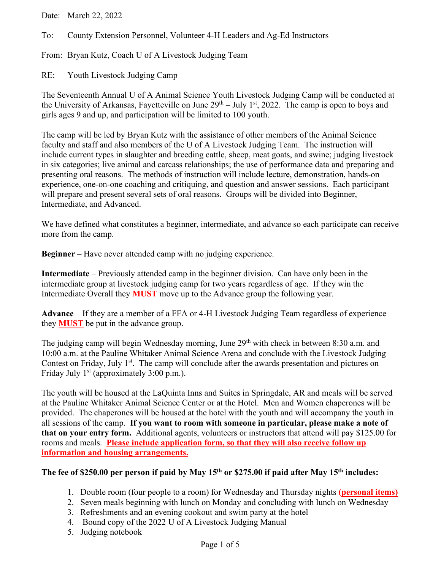Date: March 22, 2022

To: County Extension Personnel, Volunteer 4-H Leaders and Ag-Ed Instructors

From: Bryan Kutz, Coach U of A Livestock Judging Team

RE: Youth Livestock Judging Camp

The Seventeenth Annual U of A Animal Science Youth Livestock Judging Camp will be conducted at the University of Arkansas, Fayetteville on June  $29<sup>th</sup> - July 1<sup>st</sup>$ , 2022. The camp is open to boys and girls ages 9 and up, and participation will be limited to 100 youth.

The camp will be led by Bryan Kutz with the assistance of other members of the Animal Science faculty and staff and also members of the U of A Livestock Judging Team. The instruction will include current types in slaughter and breeding cattle, sheep, meat goats, and swine; judging livestock in six categories; live animal and carcass relationships; the use of performance data and preparing and presenting oral reasons. The methods of instruction will include lecture, demonstration, hands-on experience, one-on-one coaching and critiquing, and question and answer sessions. Each participant will prepare and present several sets of oral reasons. Groups will be divided into Beginner, Intermediate, and Advanced.

We have defined what constitutes a beginner, intermediate, and advance so each participate can receive more from the camp.

**Beginner** – Have never attended camp with no judging experience.

**Intermediate** – Previously attended camp in the beginner division. Can have only been in the intermediate group at livestock judging camp for two years regardless of age. If they win the Intermediate Overall they **MUST** move up to the Advance group the following year.

**Advance** – If they are a member of a FFA or 4-H Livestock Judging Team regardless of experience they **MUST** be put in the advance group.

The judging camp will begin Wednesday morning, June  $29<sup>th</sup>$  with check in between 8:30 a.m. and 10:00 a.m. at the Pauline Whitaker Animal Science Arena and conclude with the Livestock Judging Contest on Friday, July 1<sup>st</sup>. The camp will conclude after the awards presentation and pictures on Friday July  $1<sup>st</sup>$  (approximately 3:00 p.m.).

The youth will be housed at the LaQuinta Inns and Suites in Springdale, AR and meals will be served at the Pauline Whitaker Animal Science Center or at the Hotel. Men and Women chaperones will be provided. The chaperones will be housed at the hotel with the youth and will accompany the youth in all sessions of the camp. **If you want to room with someone in particular, please make a note of that on your entry form.** Additional agents, volunteers or instructors that attend will pay \$125.00 for rooms and meals. **Please include application form, so that they will also receive follow up information and housing arrangements.**

## **The fee of \$250.00 per person if paid by May 15th or \$275.00 if paid after May 15th includes:**

- 1. Double room (four people to a room) for Wednesday and Thursday nights **(personal items)**
- 2. Seven meals beginning with lunch on Monday and concluding with lunch on Wednesday
- 3. Refreshments and an evening cookout and swim party at the hotel
- 4. Bound copy of the 2022 U of A Livestock Judging Manual
- 5. Judging notebook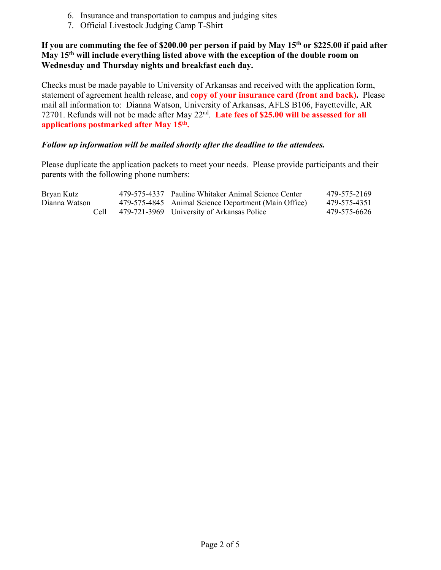- 6. Insurance and transportation to campus and judging sites
- 7. Official Livestock Judging Camp T-Shirt

### **If you are commuting the fee of \$200.00 per person if paid by May 15th or \$225.00 if paid after May 15th will include everything listed above with the exception of the double room on Wednesday and Thursday nights and breakfast each day.**

Checks must be made payable to University of Arkansas and received with the application form, statement of agreement health release, and **copy of your insurance card (front and back).** Please mail all information to: Dianna Watson, University of Arkansas, AFLS B106, Fayetteville, AR 72701. Refunds will not be made after May 22<sup>nd</sup>. Late fees of \$25.00 will be assessed for all **applications postmarked after May 15th.**

#### *Follow up information will be mailed shortly after the deadline to the attendees.*

Please duplicate the application packets to meet your needs. Please provide participants and their parents with the following phone numbers:

| Bryan Kutz    | 479-575-4337 Pauline Whitaker Animal Science Center  | 479-575-2169 |
|---------------|------------------------------------------------------|--------------|
| Dianna Watson | 479-575-4845 Animal Science Department (Main Office) | 479-575-4351 |
| Cell          | 479-721-3969 University of Arkansas Police           | 479-575-6626 |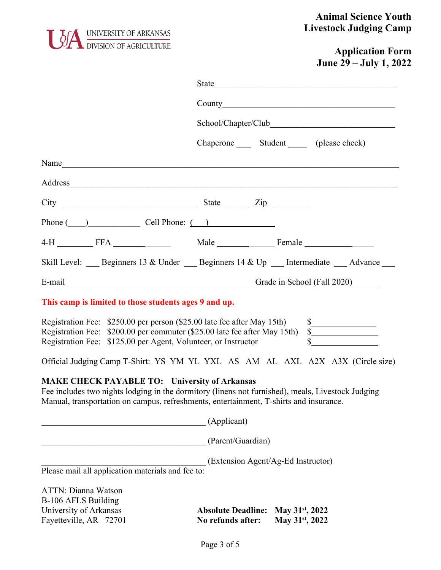

## **Animal Science Youth Livestock Judging Camp**

# **Application Form June 29 – July 1, 2022**

|                                                                                                                                                                                                                                                     |                                                | Chaperone ______ Student _______ (please check)                                                                                     |
|-----------------------------------------------------------------------------------------------------------------------------------------------------------------------------------------------------------------------------------------------------|------------------------------------------------|-------------------------------------------------------------------------------------------------------------------------------------|
| Name                                                                                                                                                                                                                                                |                                                |                                                                                                                                     |
| Address                                                                                                                                                                                                                                             |                                                |                                                                                                                                     |
| $City$ $2ip$                                                                                                                                                                                                                                        |                                                |                                                                                                                                     |
| Phone $\qquad)$ Cell Phone: $\qquad)$                                                                                                                                                                                                               |                                                |                                                                                                                                     |
| 4-H FFA FFA Male Male Female                                                                                                                                                                                                                        |                                                |                                                                                                                                     |
| Skill Level: ___ Beginners 13 & Under ___ Beginners 14 & Up ___ Intermediate ___ Advance ___                                                                                                                                                        |                                                |                                                                                                                                     |
| E-mail Grade in School (Fall 2020)                                                                                                                                                                                                                  |                                                |                                                                                                                                     |
| This camp is limited to those students ages 9 and up.                                                                                                                                                                                               |                                                |                                                                                                                                     |
| Registration Fee: \$250.00 per person (\$25.00 late fee after May 15th)<br>Registration Fee: \$200.00 per commuter (\$25.00 late fee after May 15th)<br>Registration Fee: \$125.00 per Agent, Volunteer, or Instructor                              |                                                | $\begin{array}{c c}\n\text{\textbf{s}} & \text{\textbf{s}} \\ \hline\n\text{\textbf{s}} & \text{\textbf{s}} \\ \hline\n\end{array}$ |
| Official Judging Camp T-Shirt: YS YM YL YXL AS AM AL AXL A2X A3X (Circle size)                                                                                                                                                                      |                                                |                                                                                                                                     |
| <b>MAKE CHECK PAYABLE TO: University of Arkansas</b><br>Fee includes two nights lodging in the dormitory (linens not furnished), meals, Livestock Judging<br>Manual, transportation on campus, refreshments, entertainment, T-shirts and insurance. |                                                |                                                                                                                                     |
|                                                                                                                                                                                                                                                     | (Applicant)                                    |                                                                                                                                     |
|                                                                                                                                                                                                                                                     | (Parent/Guardian)                              |                                                                                                                                     |
| Please mail all application materials and fee to:                                                                                                                                                                                                   | (Extension Agent/Ag-Ed Instructor)             |                                                                                                                                     |
| <b>ATTN: Dianna Watson</b><br>B-106 AFLS Building<br>University of Arkansas<br>Fayetteville, AR 72701                                                                                                                                               | <b>Absolute Deadline:</b><br>No refunds after: | May $31^{st}$ , 2022<br>May 31 <sup>st</sup> , 2022                                                                                 |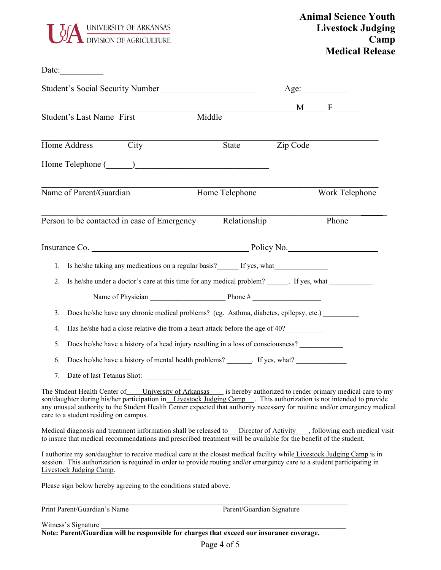

Date:\_\_\_\_\_\_\_\_\_\_

| <b>Student's Social Security Number</b> |                                       |                                             | Age:                                                                                                                                                                                                                                                                                                                                                              |                           |                |
|-----------------------------------------|---------------------------------------|---------------------------------------------|-------------------------------------------------------------------------------------------------------------------------------------------------------------------------------------------------------------------------------------------------------------------------------------------------------------------------------------------------------------------|---------------------------|----------------|
|                                         | Student's Last Name First             |                                             | Middle                                                                                                                                                                                                                                                                                                                                                            |                           | $M \t F$       |
|                                         | Home Address City                     |                                             | State                                                                                                                                                                                                                                                                                                                                                             | Zip Code                  |                |
|                                         |                                       |                                             | Home Telephone (Campaign Communication of Telephone Communication of the Telephone Communication of the Telephone Communication of the Telephone Communication of the Telephone Communication of the Telephone Communication o                                                                                                                                    |                           |                |
|                                         | Name of Parent/Guardian               |                                             | Home Telephone                                                                                                                                                                                                                                                                                                                                                    |                           | Work Telephone |
|                                         |                                       | Person to be contacted in case of Emergency | Relationship                                                                                                                                                                                                                                                                                                                                                      |                           | Phone          |
|                                         |                                       |                                             |                                                                                                                                                                                                                                                                                                                                                                   |                           |                |
|                                         |                                       |                                             | 1. Is he/she taking any medications on a regular basis? If yes, what                                                                                                                                                                                                                                                                                              |                           |                |
| 2.                                      |                                       |                                             | Is he/she under a doctor's care at this time for any medical problem? ______. If yes, what _______________                                                                                                                                                                                                                                                        |                           |                |
|                                         |                                       |                                             |                                                                                                                                                                                                                                                                                                                                                                   |                           |                |
| 3.                                      |                                       |                                             | Does he/she have any chronic medical problems? (eg. Asthma, diabetes, epilepsy, etc.)                                                                                                                                                                                                                                                                             |                           |                |
| 4.                                      |                                       |                                             | Has he/she had a close relative die from a heart attack before the age of 40?                                                                                                                                                                                                                                                                                     |                           |                |
| 5.                                      |                                       |                                             | Does he/she have a history of a head injury resulting in a loss of consciousness?                                                                                                                                                                                                                                                                                 |                           |                |
| 6.                                      |                                       |                                             | Does he/she have a history of mental health problems? _______. If yes, what? _______________________                                                                                                                                                                                                                                                              |                           |                |
| 7.                                      |                                       | Date of last Tetanus Shot:                  |                                                                                                                                                                                                                                                                                                                                                                   |                           |                |
|                                         | care to a student residing on campus. |                                             | The Student Health Center of University of Arkansas is hereby authorized to render primary medical care to my<br>son/daughter during his/her participation in Livestock Judging Camp . This authorization is not intended to provide<br>any unusual authority to the Student Health Center expected that authority necessary for routine and/or emergency medical |                           |                |
|                                         |                                       |                                             | Medical diagnosis and treatment information shall be released to Director of Activity , following each medical visit<br>to insure that medical recommendations and prescribed treatment will be available for the benefit of the student.                                                                                                                         |                           |                |
|                                         | Livestock Judging Camp.               |                                             | I authorize my son/daughter to receive medical care at the closest medical facility while Livestock Judging Camp is in<br>session. This authorization is required in order to provide routing and/or emergency care to a student participating in                                                                                                                 |                           |                |
|                                         |                                       |                                             | Please sign below hereby agreeing to the conditions stated above.                                                                                                                                                                                                                                                                                                 |                           |                |
|                                         | Print Parent/Guardian's Name          |                                             |                                                                                                                                                                                                                                                                                                                                                                   | Parent/Guardian Signature |                |

Witness's Signature \_\_\_\_\_\_\_\_\_\_\_\_\_\_\_\_\_\_\_\_\_\_\_\_\_\_\_\_\_\_\_\_\_\_\_\_\_\_\_\_\_\_\_\_\_\_\_\_\_\_\_\_\_\_\_\_\_\_\_\_\_\_\_\_\_\_\_\_ **Note: Parent/Guardian will be responsible for charges that exceed our insurance coverage.**